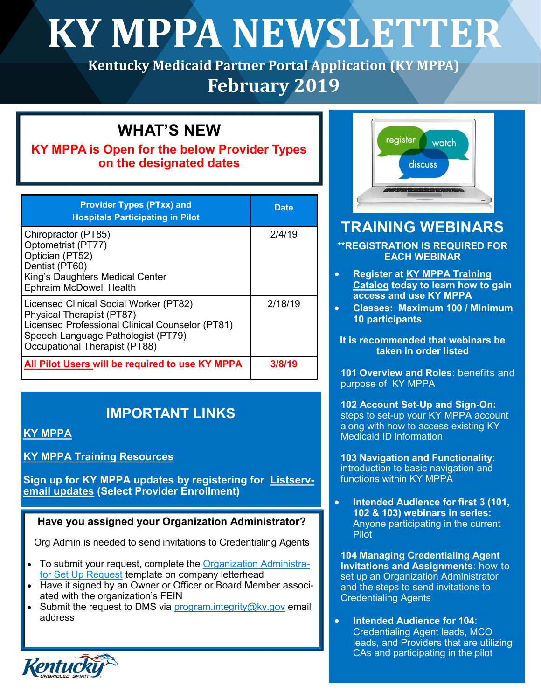# **KY MPPA NEWSLETTER**

**Kentucky Medicaid Partner Portal Application (KY MPPA) February 2019**

# **WHAT'S NEW**

## **KY MPPA is Open for the below Provider Types on the designated dates**

| <b>Provider Types (PTxx) and</b><br><b>Hospitals Participating in Pilot</b>                                                                                                                   | <b>Date</b> |
|-----------------------------------------------------------------------------------------------------------------------------------------------------------------------------------------------|-------------|
| Chiropractor (PT85)<br>Optometrist (PT77)<br>Optician (PT52)<br>Dentist (PT60)<br>King's Daughters Medical Center<br><b>Ephraim McDowell Health</b>                                           | 2/4/19      |
| Licensed Clinical Social Worker (PT82)<br>Physical Therapist (PT87)<br>Licensed Professional Clinical Counselor (PT81)<br>Speech Language Pathologist (PT79)<br>Occupational Therapist (PT88) | 2/18/19     |
| All Pilot Users will be required to use KY MPPA                                                                                                                                               | 3/8/19      |

# **IMPORTANT LINKS**

## **[KY MPPA](https://chfs.ky.gov/agencies/dms/dpi/pe/Pages/mppa.aspx)**

## **[KY MPPA Training Resources](https://chfs.ky.gov/agencies/dms/dpi/pe/Pages/pptrain.aspx)**

**Sign up for KY MPPA updates by registering for [Listserv](https://public.govdelivery.com/accounts/KYCHFS/subscriber/new)[email updates](https://public.govdelivery.com/accounts/KYCHFS/subscriber/new) (Select Provider Enrollment)** 

## **Have you assigned your Organization Administrator?**

Org Admin is needed to send invitations to Credentialing Agents

- To submit your request, complete the [Organization Administra](https://chfs.ky.gov/agencies/dms/dpi/pe/Documents/SetUpRequestLetter.pdf)[tor Set Up Request](https://chfs.ky.gov/agencies/dms/dpi/pe/Documents/SetUpRequestLetter.pdf) template on company letterhead
- Have it signed by an Owner or Officer or Board Member associated with the organization's FEIN
- Submit the request to DMS via program.integrity@ky.gov email address



# **TRAINING WEBINARS**

**\*\*REGISTRATION IS REQUIRED FOR EACH WEBINAR**

- **Register at [KY MPPA Training](https://events-na1.adobeconnect.com/content/connect/c1/2704462926/en/events/catalog.html?OWASP_CSRFTOKEN=7ba81fb92f94d35ce9219a519a6d36dae8df43eeb66badeb25935879fb558678)  [Catalog](https://events-na1.adobeconnect.com/content/connect/c1/2704462926/en/events/catalog.html?OWASP_CSRFTOKEN=7ba81fb92f94d35ce9219a519a6d36dae8df43eeb66badeb25935879fb558678) today to learn how to gain access and use KY MPPA**
- **Classes: Maximum 100 / Minimum 10 participants**
- **It is recommended that webinars be taken in order listed**

**101 Overview and Roles**: benefits and purpose of KY MPPA

**102 Account Set-Up and Sign-On:**  steps to set-up your KY MPPA account along with how to access existing KY Medicaid ID information

**103 Navigation and Functionality**: introduction to basic navigation and functions within KY MPPA

 **Intended Audience for first 3 (101, 102 & 103) webinars in series:** Anyone participating in the current Pilot

**104 Managing Credentialing Agent Invitations and Assignments**: how to set up an Organization Administrator and the steps to send invitations to Credentialing Agents

 **Intended Audience for 104**: Credentialing Agent leads, MCO leads, and Providers that are utilizing CAs and participating in the pilot